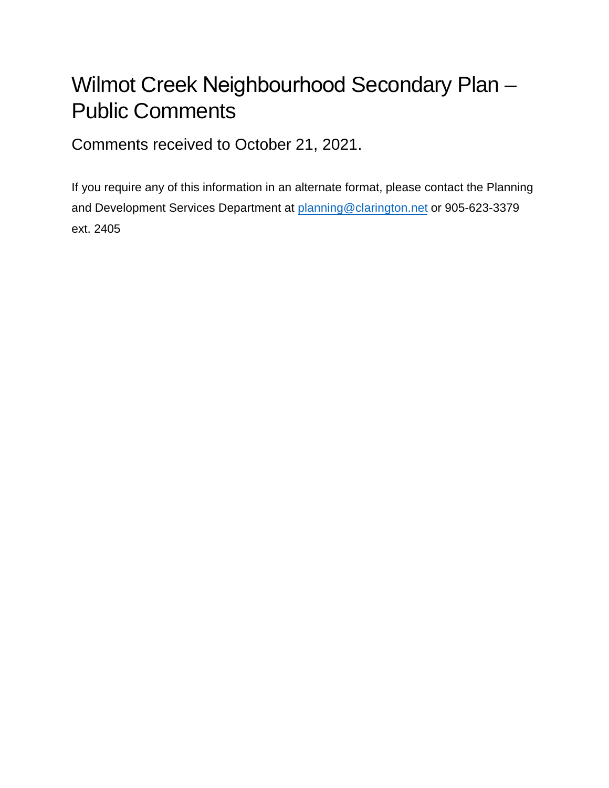## Wilmot Creek Neighbourhood Secondary Plan – Public Comments

Comments received to October 21, 2021.

If you require any of this information in an alternate format, please contact the Planning and Development Services Department at planning@clarington.net or 905-623-3379 ext. 2405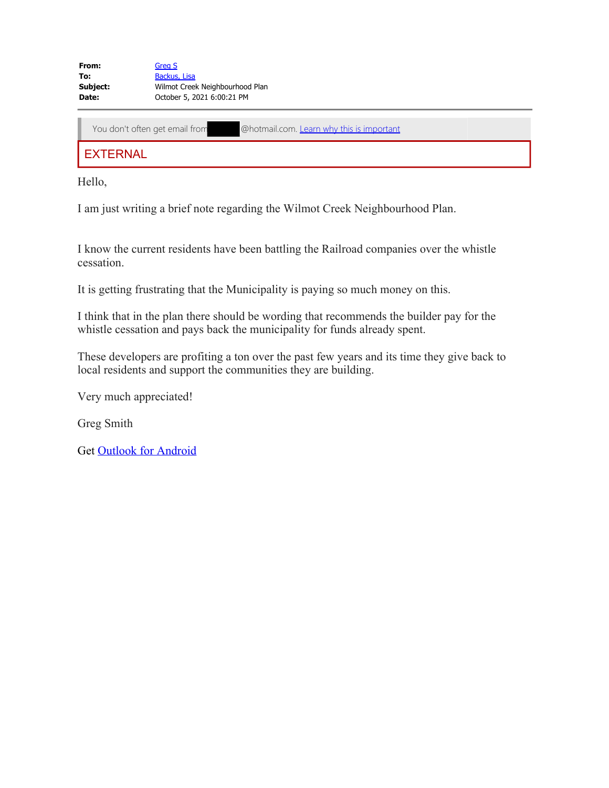| From:    | Grea S                          |
|----------|---------------------------------|
| To:      | Backus, Lisa                    |
| Subject: | Wilmot Creek Neighbourhood Plan |
| Date:    | October 5, 2021 6:00:21 PM      |

You don't often get email from @hotmail.com. Learn why this is important

**EXTERNAL** 

Hello,

I am just writing a brief note regarding the Wilmot Creek Neighbourhood Plan.

I know the current residents have been battling the Railroad companies over the whistle cessation.

It is getting frustrating that the Municipality is paying so much money on this.

I think that in the plan there should be wording that recommends the builder pay for the whistle cessation and pays back the municipality for funds already spent.

These developers are profiting a ton over the past few years and its time they give back to local residents and support the communities they are building.

Very much appreciated!

Greg Smith

Get Outlook for Android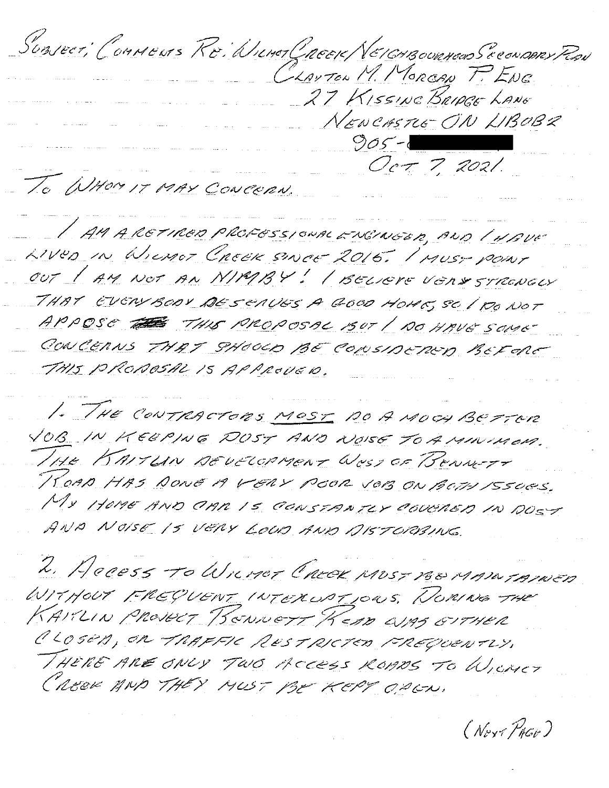Sunsect, Conneurs Re: WinerCheese/VEICHBourners Seconders Red CLAUTEN M. MORGAN P. ENG. 27 Kissine BRIDGE LANE NEWCASTLE ON LIBOB2  $905 - 1$ Oct 7, 2021. To WHOM IT MAY CONCERN.

/ AM A RETIRED PROFESSIONAL ENCINEER, AND / 4AUF 21Ves in Wiener Creek snee 2015. Inver pour OUT / AM NOT AN NIMBY! / BELIEVE VENY STRENGLY THAT EVERYBOOY DESCAVES A GOOD HOME, SC / RO NOT APPOSE THIS PROPOSAL BUT / DO HAVE SOME CONCERNS THAT SHOUD BE CONSIDERED BEFORE THIS PROPOSAL IS APPROVED.

1. THE CONTRACTORS MOST DO A MOCH BEFFOR VOB IN KEEPING DOST AND NOISE TO A MINIMON. 1HE KAITLIN DEVELOPMENT West OF BENNETT KOAD HAS DONE A VERY POOR JOB ON BOTH ISSOES. MY HOME AND OMR IS CONSTANTLY COUCHED IN DOST AND NOISE IS VERY LOOD AND AISTORBING.

L. Hecess To WILMET CREEK MOST 160 MAIN TAINED WITHOUT FREQUENT INTERVATIONS. NORING THE KARLIN PROVECT BONNETT KEAD WAS GITHER CLOSED, OR TRAFFIC RESTRICTED FREQUENTLY. THERE ARE ONLY TWO ACCESS ROADS TO WICHET CREEK AND THEY MUST BE KEPT OPEN.

(Nort PAGO)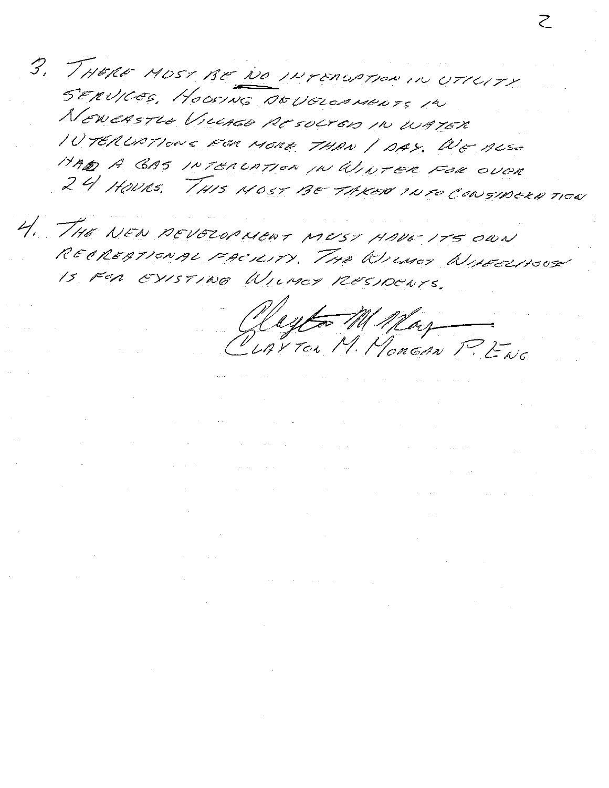3. THERE MOST BE NO INTERCRITION IN UTTERTY SERVICES, HOOSING DOUGLOPHONES IN NEWEASTLE VILLAGE RESOCTED IN WATER IV TERUPTIONS FOR MORE THAN / DAY, WE ALSO HAD A GAS INTERLATION IN WINTER FOR OVER 24 HOURS. THIS MOST BE TAKED INTO CONSIDERD TICK

4. THE NEW AEVELOPMENT MEST HAVE ITS OWN RECRESSIONAL FACILITY, THE WILLOCT WILECCHOUS IS FOR EXISTING WILMEY RESIDENTS.

a sa karang sa kalawang kalawang kalawang kalawang sa karang sa karang sa karang sa karang sa karang sa karang<br>Karang sa karang sa karang sa karang sa karang sa karang sa karang sa karang sa karang sa karang sa karang sa

a sa karang sa kabupatèn Kabupatèn Kabupatèn Kabupatèn Kabupatèn Kabupatèn Kabupatèn Kabupatèn Kabupatèn Kabup<br>Kabupatèn Kabupatèn Kabupatèn Kabupatèn Kabupatèn Kabupatèn Kabupatèn Kabupatèn Kabupatèn Kabupatèn Kabupatèn

 $\mathcal{O}(\mathcal{O}(n^2))$  . The contract of the set of the set of the set of the set of the set of the set of the set of the set of the set of the set of the set of the set of the set of the set of the set of the set of the set

 $\mathcal{L}^{\mathcal{L}}(\mathcal{L}^{\mathcal{L}})$  and  $\mathcal{L}^{\mathcal{L}}(\mathcal{L}^{\mathcal{L}})$  and  $\mathcal{L}^{\mathcal{L}}(\mathcal{L}^{\mathcal{L}})$  and  $\mathcal{L}^{\mathcal{L}}(\mathcal{L}^{\mathcal{L}})$ 

 $\label{eq:2} \mathcal{L} = \mathcal{L} \left( \mathcal{L} \right) \mathcal{L} \left( \mathcal{L} \right)$ 

 $\mathcal{L}^{\text{max}}_{\text{max}}$  , where  $\mathcal{L}^{\text{max}}_{\text{max}}$ 

Regtor M May

 $\mathcal{L}_{\text{max}}$  , where  $\mathcal{L}_{\text{max}}$ 

 $\label{eq:2.1} \mathcal{L}(\mathcal{L}(\mathcal{L})) = \mathcal{L}(\mathcal{L}(\mathcal{L})) = \mathcal{L}(\mathcal{L}(\mathcal{L})) = \mathcal{L}(\mathcal{L}(\mathcal{L})) = \mathcal{L}(\mathcal{L}(\mathcal{L}))$ 

 $\alpha$  , and the set of the set of the set of the set of the set of the set of the set of the set of the set of the set

. We assume that the same spectral in the same spectral in the same spectral in the same spectral in the same spectral in the same spectral in the same spectral in the same spectral in the same spectral in the same spectr

 $\label{eq:2.1} \frac{1}{\sqrt{2\pi}}\int_{\mathbb{R}^3}\frac{1}{\sqrt{2\pi}}\int_{\mathbb{R}^3}\frac{1}{\sqrt{2\pi}}\int_{\mathbb{R}^3}\frac{1}{\sqrt{2\pi}}\int_{\mathbb{R}^3}\frac{1}{\sqrt{2\pi}}\int_{\mathbb{R}^3}\frac{1}{\sqrt{2\pi}}\int_{\mathbb{R}^3}\frac{1}{\sqrt{2\pi}}\int_{\mathbb{R}^3}\frac{1}{\sqrt{2\pi}}\int_{\mathbb{R}^3}\frac{1}{\sqrt{2\pi}}\int_{\mathbb{R}^3}\frac{1$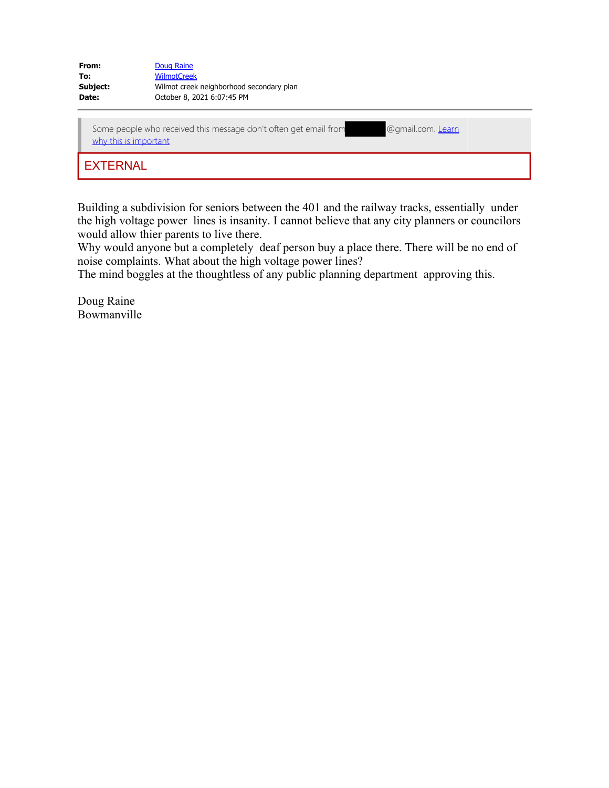| From:    | Doug Raine                               |
|----------|------------------------------------------|
| To:      | <b>WilmotCreek</b>                       |
| Subject: | Wilmot creek neighborhood secondary plan |
| Date:    | October 8, 2021 6:07:45 PM               |

| Some people who received this message don't often get email from<br>why this is important | @gmail.com. Learn |
|-------------------------------------------------------------------------------------------|-------------------|
| <b>EXTERNAL</b>                                                                           |                   |

Building a subdivision for seniors between the 401 and the railway tracks, essentially under the high voltage power lines is insanity. I cannot believe that any city planners or councilors would allow thier parents to live there.

Why would anyone but a completely deaf person buy a place there. There will be no end of noise complaints. What about the high voltage power lines?

The mind boggles at the thoughtless of any public planning department approving this.

Doug Raine Bowmanville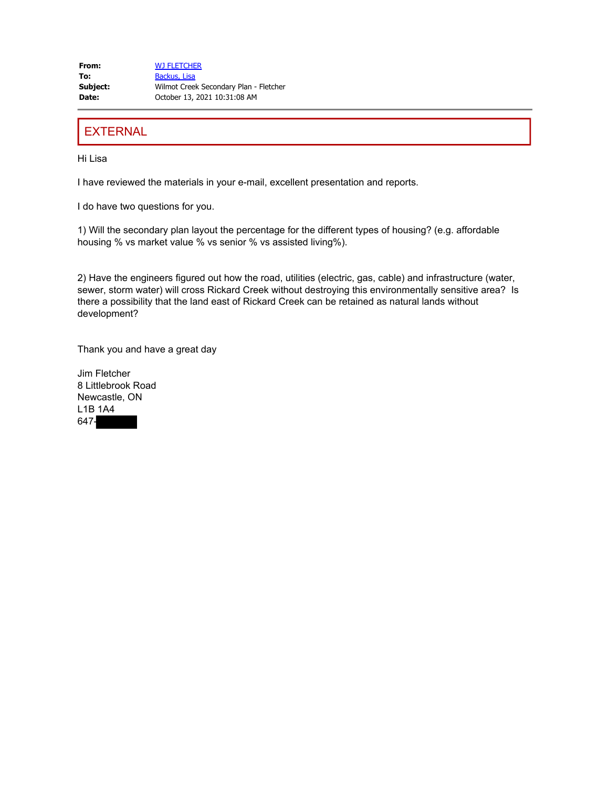**From:** WJ FLETCHER To: Backus, Lisa **Subject:** Wilmot Creek Secondary Plan - Fletcher **Date:** October 13, 2021 10:31:08 AM

## **EXTERNAL**

Hi Lisa

I have reviewed the materials in your e-mail, excellent presentation and reports.

I do have two questions for you.

1) Will the secondary plan layout the percentage for the different types of housing? (e.g. affordable housing % vs market value % vs senior % vs assisted living%).

2) Have the engineers figured out how the road, utilities (electric, gas, cable) and infrastructure (water, sewer, storm water) will cross Rickard Creek without destroying this environmentally sensitive area? Is there a possibility that the land east of Rickard Creek can be retained as natural lands without development?

Thank you and have a great day

Jim Fletcher 8 Littlebrook Road Newcastle, ON L1B 1A4 647-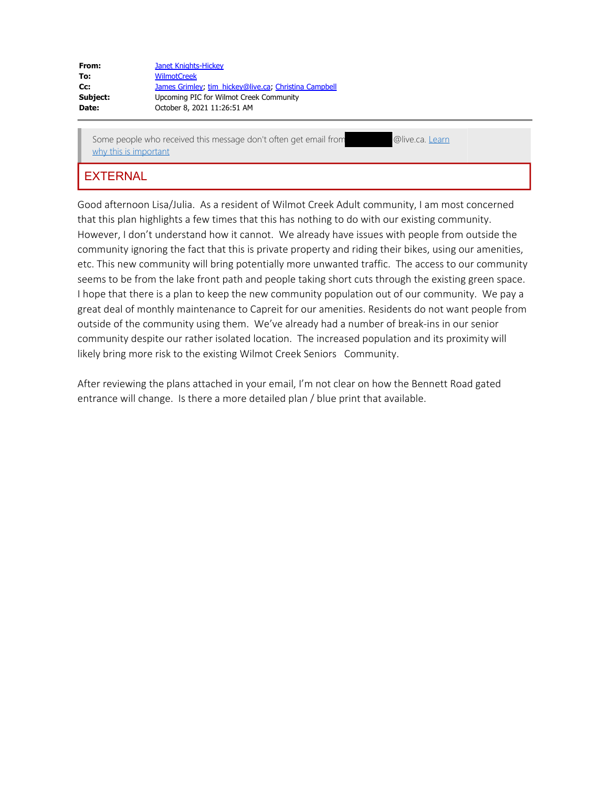| From:    | Janet Knights-Hickey                                  |
|----------|-------------------------------------------------------|
| To:      | <b>WilmotCreek</b>                                    |
| Cc:      | James Grimley, tim hickey@live.ca, Christina Campbell |
| Subject: | Upcoming PIC for Wilmot Creek Community               |
| Date:    | October 8, 2021 11:26:51 AM                           |

Some people who received this message don't often get email from @live.ca. Learn why this is important

## **EXTERNAL**

Good afternoon Lisa/Julia. As a resident of Wilmot Creek Adult community, I am most concerned that this plan highlights a few times that this has nothing to do with our existing community. However, I don't understand how it cannot. We already have issues with people from outside the community ignoring the fact that this is private property and riding their bikes, using our amenities, etc. This new community will bring potentially more unwanted traffic. The access to our community seems to be from the lake front path and people taking short cuts through the existing green space. I hope that there is a plan to keep the new community population out of our community. We pay a great deal of monthly maintenance to Capreit for our amenities. Residents do not want people from outside of the community using them. We've already had a number of break-ins in our senior community despite our rather isolated location. The increased population and its proximity will likely bring more risk to the existing Wilmot Creek Seniors Community.

After reviewing the plans attached in your email, I'm not clear on how the Bennett Road gated entrance will change. Is there a more detailed plan / blue print that available.